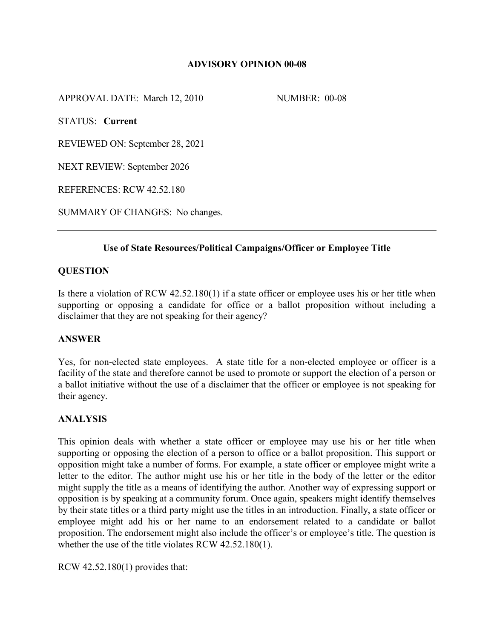# **ADVISORY OPINION 00-08**

APPROVAL DATE: March 12, 2010 NUMBER: 00-08

STATUS: **Current**

REVIEWED ON: September 28, 2021

NEXT REVIEW: September 2026

REFERENCES: RCW 42.52.180

SUMMARY OF CHANGES: No changes.

## **Use of State Resources/Political Campaigns/Officer or Employee Title**

## **QUESTION**

Is there a violation of RCW 42.52.180(1) if a state officer or employee uses his or her title when supporting or opposing a candidate for office or a ballot proposition without including a disclaimer that they are not speaking for their agency?

## **ANSWER**

Yes, for non-elected state employees. A state title for a non-elected employee or officer is a facility of the state and therefore cannot be used to promote or support the election of a person or a ballot initiative without the use of a disclaimer that the officer or employee is not speaking for their agency.

## **ANALYSIS**

This opinion deals with whether a state officer or employee may use his or her title when supporting or opposing the election of a person to office or a ballot proposition. This support or opposition might take a number of forms. For example, a state officer or employee might write a letter to the editor. The author might use his or her title in the body of the letter or the editor might supply the title as a means of identifying the author. Another way of expressing support or opposition is by speaking at a community forum. Once again, speakers might identify themselves by their state titles or a third party might use the titles in an introduction. Finally, a state officer or employee might add his or her name to an endorsement related to a candidate or ballot proposition. The endorsement might also include the officer's or employee's title. The question is whether the use of the title violates RCW 42.52.180(1).

RCW 42.52.180(1) provides that: